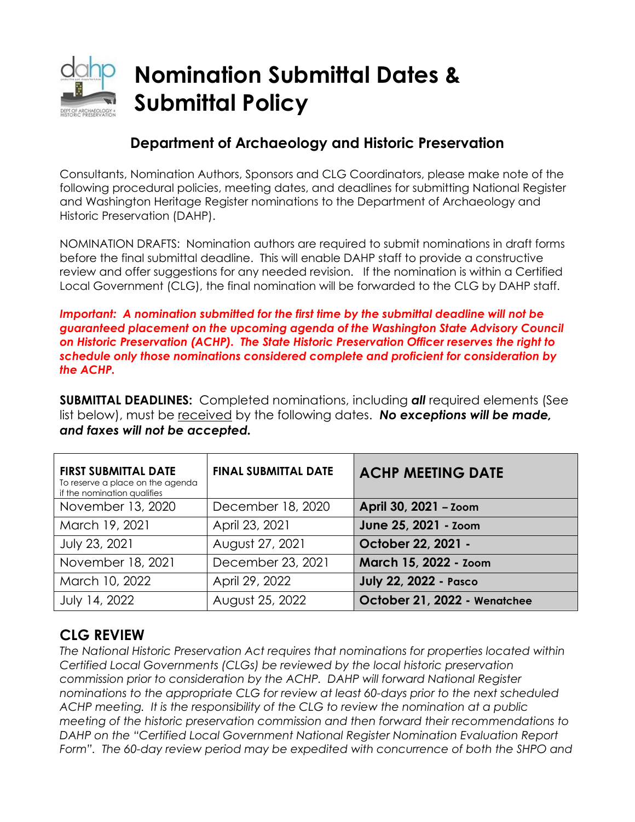

# **Nomination Submittal Dates & Submittal Policy**

## **Department of Archaeology and Historic Preservation**

Consultants, Nomination Authors, Sponsors and CLG Coordinators, please make note of the following procedural policies, meeting dates, and deadlines for submitting National Register and Washington Heritage Register nominations to the Department of Archaeology and Historic Preservation (DAHP).

NOMINATION DRAFTS: Nomination authors are required to submit nominations in draft forms before the final submittal deadline. This will enable DAHP staff to provide a constructive review and offer suggestions for any needed revision. If the nomination is within a Certified Local Government (CLG), the final nomination will be forwarded to the CLG by DAHP staff.

*Important: A nomination submitted for the first time by the submittal deadline will not be guaranteed placement on the upcoming agenda of the Washington State Advisory Council on Historic Preservation (ACHP). The State Historic Preservation Officer reserves the right to schedule only those nominations considered complete and proficient for consideration by the ACHP.*

**SUBMITTAL DEADLINES:** Completed nominations, including *all* required elements (See list below), must be received by the following dates. *No exceptions will be made, and faxes will not be accepted.* 

| <b>FIRST SUBMITTAL DATE</b><br>To reserve a place on the agenda<br>if the nomination qualifies | <b>FINAL SUBMITTAL DATE</b> | <b>ACHP MEETING DATE</b>     |
|------------------------------------------------------------------------------------------------|-----------------------------|------------------------------|
| November 13, 2020                                                                              | December 18, 2020           | April 30, 2021 - Zoom        |
| March 19, 2021                                                                                 | April 23, 2021              | June 25, 2021 - Zoom         |
| July 23, 2021                                                                                  | August 27, 2021             | October 22, 2021 -           |
| November 18, 2021                                                                              | December 23, 2021           | March 15, 2022 - Zoom        |
| March 10, 2022                                                                                 | April 29, 2022              | <b>July 22, 2022 - Pasco</b> |
| July 14, 2022                                                                                  | August 25, 2022             | October 21, 2022 - Wenatchee |

### **CLG REVIEW**

*The National Historic Preservation Act requires that nominations for properties located within Certified Local Governments (CLGs) be reviewed by the local historic preservation commission prior to consideration by the ACHP. DAHP will forward National Register nominations to the appropriate CLG for review at least 60-days prior to the next scheduled ACHP meeting. It is the responsibility of the CLG to review the nomination at a public meeting of the historic preservation commission and then forward their recommendations to DAHP on the "Certified Local Government National Register Nomination Evaluation Report Form". The 60-day review period may be expedited with concurrence of both the SHPO and*